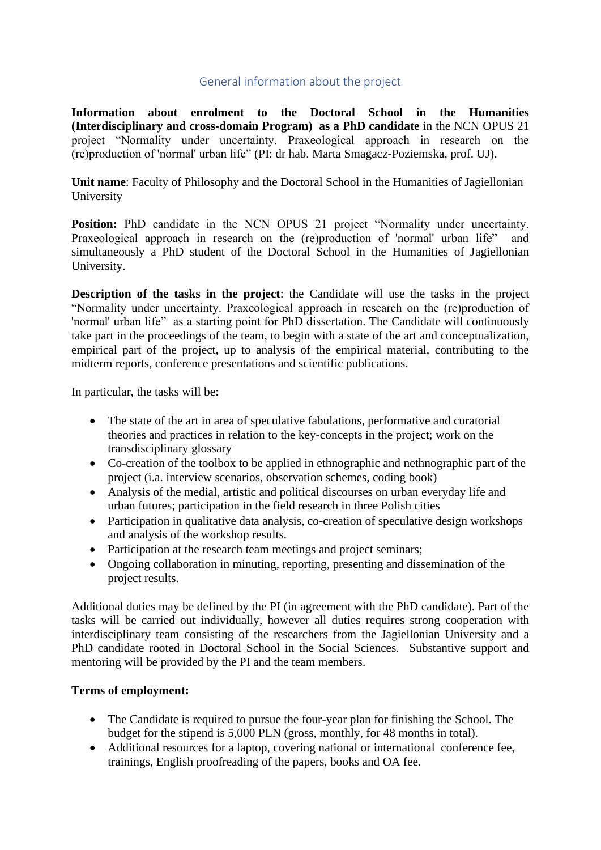## General information about the project

**Information about enrolment to the Doctoral School in the Humanities (Interdisciplinary and cross-domain Program) as a PhD candidate** in the NCN OPUS 21 project "Normality under uncertainty. Praxeological approach in research on the (re)production of 'normal' urban life" (PI: dr hab. Marta Smagacz-Poziemska, prof. UJ).

**Unit name**: Faculty of Philosophy and the Doctoral School in the Humanities of Jagiellonian University

**Position:** PhD candidate in the NCN OPUS 21 project "Normality under uncertainty. Praxeological approach in research on the (re)production of 'normal' urban life" and simultaneously a PhD student of the Doctoral School in the Humanities of Jagiellonian University.

**Description of the tasks in the project**: the Candidate will use the tasks in the project "Normality under uncertainty. Praxeological approach in research on the (re)production of 'normal' urban life" as a starting point for PhD dissertation. The Candidate will continuously take part in the proceedings of the team, to begin with a state of the art and conceptualization, empirical part of the project, up to analysis of the empirical material, contributing to the midterm reports, conference presentations and scientific publications.

In particular, the tasks will be:

- The state of the art in area of speculative fabulations, performative and curatorial theories and practices in relation to the key-concepts in the project; work on the transdisciplinary glossary
- Co-creation of the toolbox to be applied in ethnographic and nethnographic part of the project (i.a. interview scenarios, observation schemes, coding book)
- Analysis of the medial, artistic and political discourses on urban everyday life and urban futures; participation in the field research in three Polish cities
- Participation in qualitative data analysis, co-creation of speculative design workshops and analysis of the workshop results.
- Participation at the research team meetings and project seminars;
- Ongoing collaboration in minuting, reporting, presenting and dissemination of the project results.

Additional duties may be defined by the PI (in agreement with the PhD candidate). Part of the tasks will be carried out individually, however all duties requires strong cooperation with interdisciplinary team consisting of the researchers from the Jagiellonian University and a PhD candidate rooted in Doctoral School in the Social Sciences. Substantive support and mentoring will be provided by the PI and the team members.

## **Terms of employment:**

- The Candidate is required to pursue the four-year plan for finishing the School. The budget for the stipend is 5,000 PLN (gross, monthly, for 48 months in total).
- Additional resources for a laptop, covering national or international conference fee. trainings, English proofreading of the papers, books and OA fee.